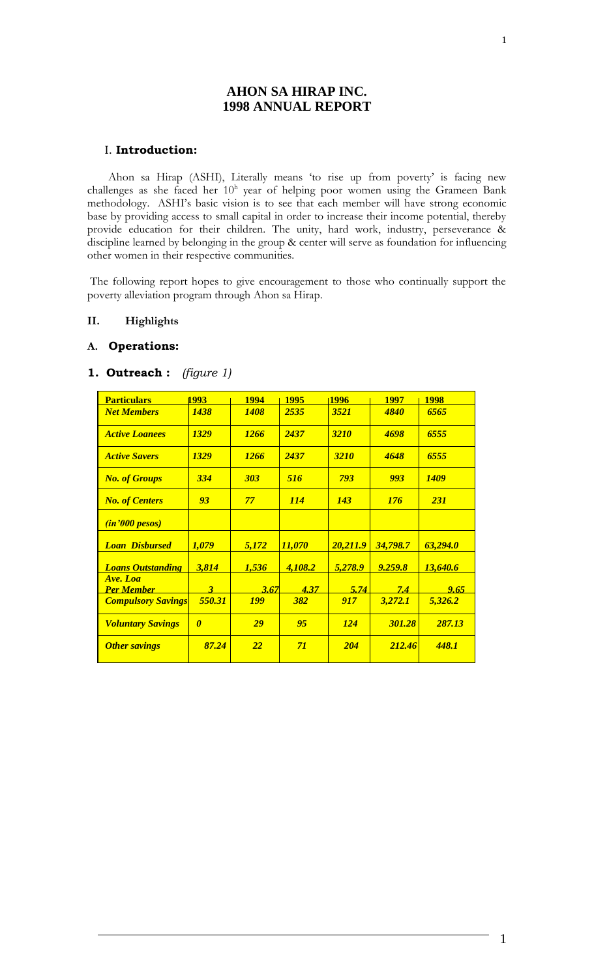# **AHON SA HIRAP INC. 1998 ANNUAL REPORT**

## I. **Introduction:**

Ahon sa Hirap (ASHI), Literally means 'to rise up from poverty' is facing new challenges as she faced her  $10<sup>h</sup>$  year of helping poor women using the Grameen Bank methodology. ASHI's basic vision is to see that each member will have strong economic base by providing access to small capital in order to increase their income potential, thereby provide education for their children. The unity, hard work, industry, perseverance & discipline learned by belonging in the group & center will serve as foundation for influencing other women in their respective communities.

The following report hopes to give encouragement to those who continually support the poverty alleviation program through Ahon sa Hirap.

## **II. Highlights**

## **A. Operations:**

## **1. Outreach :** *(figure 1)*

| <b>Particulars</b>            | 1993                    | <b>1994</b> | <b>1995</b> | 1996        | <b>1997</b> | <b>1998</b> |
|-------------------------------|-------------------------|-------------|-------------|-------------|-------------|-------------|
| <b>Net Members</b>            | <b>1438</b>             | <b>1408</b> | 2535        | 3521        | <b>4840</b> | 6565        |
| <b>Active Loanees</b>         | <b>1329</b>             | <b>1266</b> | 2437        | <b>3210</b> | 4698        | 6555        |
| <b>Active Savers</b>          | <b>1329</b>             | <b>1266</b> | 2437        | <b>3210</b> | 4648        | 6555        |
| <b>No. of Groups</b>          | 334                     | <b>303</b>  | 516         | 793         | 993         | <b>1409</b> |
| <b>No. of Centers</b>         | 93                      | 77          | <b>114</b>  | <b>143</b>  | <b>176</b>  | <b>231</b>  |
| (in'000 pesos)                |                         |             |             |             |             |             |
| <b>Loan Disbursed</b>         | 1,079                   | 5,172       | 11,070      | 20,211.9    | 34,798.7    | 63,294.0    |
| <b>Loans Outstanding</b>      | 3,814                   | 1,536       | 4,108.2     | 5,278.9     | 9.259.8     | 13,640.6    |
| Ave. Loa<br><u>Per Member</u> | $\overline{\mathbf{3}}$ | 3.67        | 4.37        | 5.74        | 7.4         | 9.65        |
| <b>Compulsory Savings</b>     | 550.31                  | <b>199</b>  | 382         | 917         | 3,272.1     | 5,326.2     |
| <b>Voluntary Savings</b>      | $\boldsymbol{\theta}$   | 29          | 95          | 124         | 301.28      | 287.13      |
| <b>Other savings</b>          | 87.24                   | <b>22</b>   | 71          | <b>204</b>  | 212.46      | 448.1       |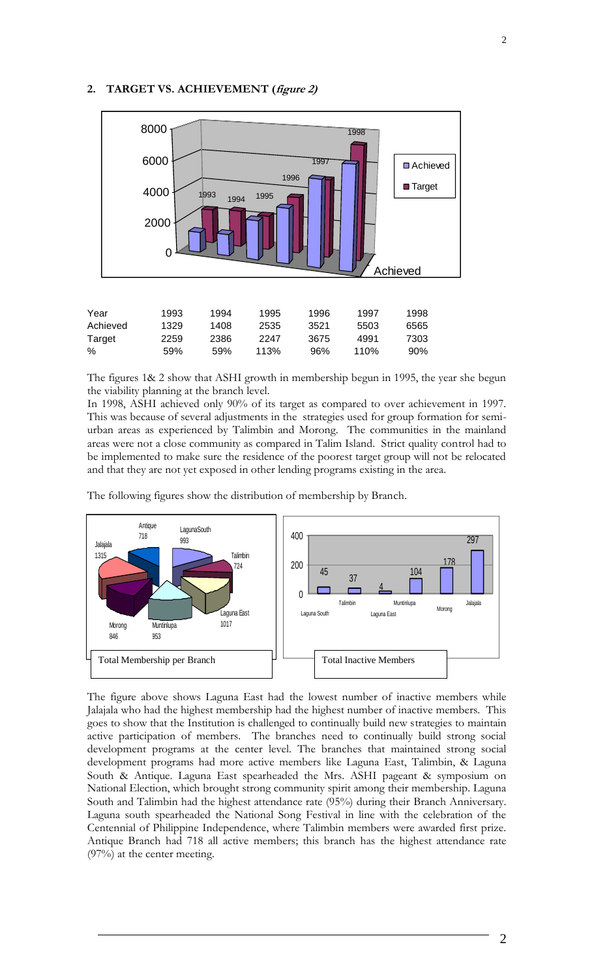# **2. TARGET VS. ACHIEVEMENT (figure 2)**



| Year     | 1993 | 1994 | 1995 | 1996 | 1997             | 1998 |
|----------|------|------|------|------|------------------|------|
| Achieved | 1329 | 1408 | 2535 | 3521 | 5503             | 6565 |
| Target   | 2259 | 2386 | 2247 | 3675 | 4991             | 7303 |
| %        | 59%  | .59% | 113% | 96%  | 110 <sup>%</sup> | 90%  |

The figures 1& 2 show that ASHI growth in membership begun in 1995, the year she begun the viability planning at the branch level.

In 1998, ASHI achieved only 90% of its target as compared to over achievement in 1997. This was because of several adjustments in the strategies used for group formation for semiurban areas as experienced by Talimbin and Morong. The communities in the mainland areas were not a close community as compared in Talim Island. Strict quality control had to be implemented to make sure the residence of the poorest target group will not be relocated and that they are not yet exposed in other lending programs existing in the area.

The following figures show the distribution of membership by Branch.



The figure above shows Laguna East had the lowest number of inactive members while Jalajala who had the highest membership had the highest number of inactive members. This goes to show that the Institution is challenged to continually build new strategies to maintain active participation of members. The branches need to continually build strong social development programs at the center level. The branches that maintained strong social development programs had more active members like Laguna East, Talimbin, & Laguna South & Antique. Laguna East spearheaded the Mrs. ASHI pageant & symposium on National Election, which brought strong community spirit among their membership. Laguna South and Talimbin had the highest attendance rate (95%) during their Branch Anniversary. Laguna south spearheaded the National Song Festival in line with the celebration of the Centennial of Philippine Independence, where Talimbin members were awarded first prize. Antique Branch had 718 all active members; this branch has the highest attendance rate (97%) at the center meeting.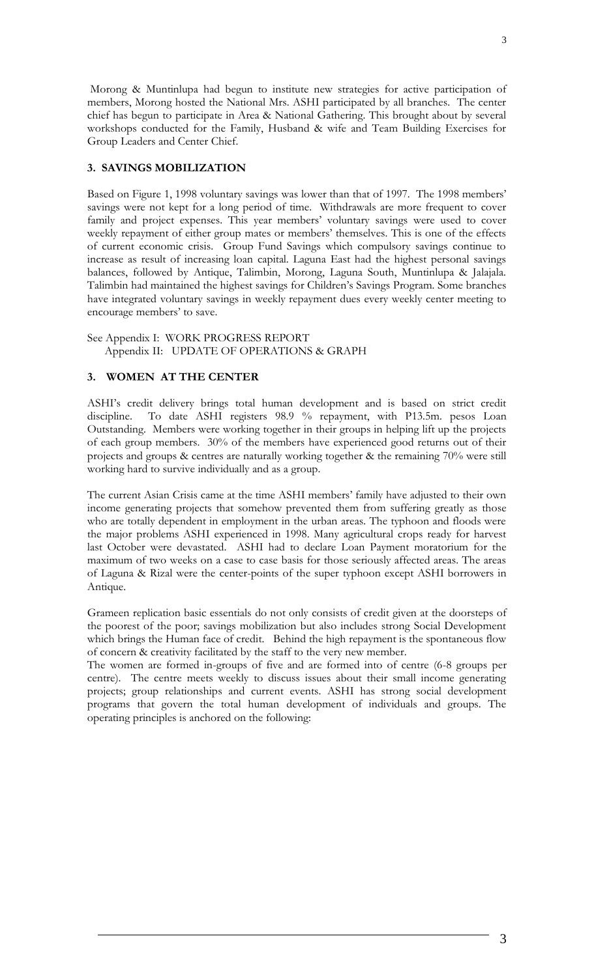Morong & Muntinlupa had begun to institute new strategies for active participation of members, Morong hosted the National Mrs. ASHI participated by all branches. The center chief has begun to participate in Area & National Gathering. This brought about by several workshops conducted for the Family, Husband & wife and Team Building Exercises for Group Leaders and Center Chief.

# **3. SAVINGS MOBILIZATION**

Based on Figure 1, 1998 voluntary savings was lower than that of 1997. The 1998 members' savings were not kept for a long period of time. Withdrawals are more frequent to cover family and project expenses. This year members' voluntary savings were used to cover weekly repayment of either group mates or members' themselves. This is one of the effects of current economic crisis. Group Fund Savings which compulsory savings continue to increase as result of increasing loan capital. Laguna East had the highest personal savings balances, followed by Antique, Talimbin, Morong, Laguna South, Muntinlupa & Jalajala. Talimbin had maintained the highest savings for Children's Savings Program. Some branches have integrated voluntary savings in weekly repayment dues every weekly center meeting to encourage members' to save.

See Appendix I: WORK PROGRESS REPORT Appendix II: UPDATE OF OPERATIONS & GRAPH

# **3. WOMEN AT THE CENTER**

ASHI's credit delivery brings total human development and is based on strict credit discipline. To date ASHI registers 98.9 % repayment, with P13.5m. pesos Loan Outstanding. Members were working together in their groups in helping lift up the projects of each group members. 30% of the members have experienced good returns out of their projects and groups & centres are naturally working together & the remaining 70% were still working hard to survive individually and as a group.

The current Asian Crisis came at the time ASHI members' family have adjusted to their own income generating projects that somehow prevented them from suffering greatly as those who are totally dependent in employment in the urban areas. The typhoon and floods were the major problems ASHI experienced in 1998. Many agricultural crops ready for harvest last October were devastated. ASHI had to declare Loan Payment moratorium for the maximum of two weeks on a case to case basis for those seriously affected areas. The areas of Laguna & Rizal were the center-points of the super typhoon except ASHI borrowers in Antique.

Grameen replication basic essentials do not only consists of credit given at the doorsteps of the poorest of the poor; savings mobilization but also includes strong Social Development which brings the Human face of credit. Behind the high repayment is the spontaneous flow of concern & creativity facilitated by the staff to the very new member.

The women are formed in-groups of five and are formed into of centre (6-8 groups per centre). The centre meets weekly to discuss issues about their small income generating projects; group relationships and current events. ASHI has strong social development programs that govern the total human development of individuals and groups. The operating principles is anchored on the following: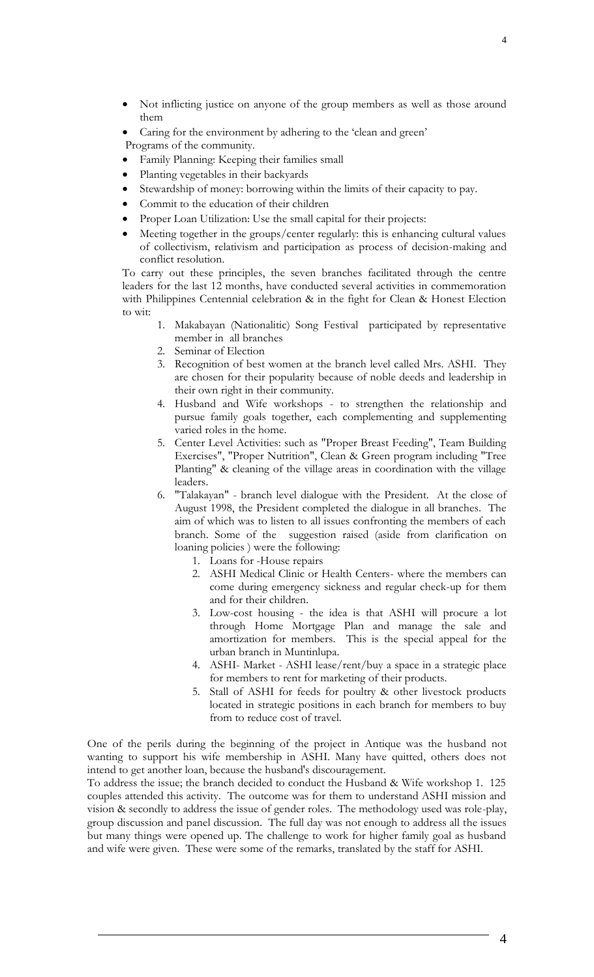- Not inflicting justice on anyone of the group members as well as those around them
- Caring for the environment by adhering to the 'clean and green'

Programs of the community.

- Family Planning: Keeping their families small
- Planting vegetables in their backyards
- Stewardship of money: borrowing within the limits of their capacity to pay.
- Commit to the education of their children
- Proper Loan Utilization: Use the small capital for their projects:
- Meeting together in the groups/center regularly: this is enhancing cultural values of collectivism, relativism and participation as process of decision-making and conflict resolution.

To carry out these principles, the seven branches facilitated through the centre leaders for the last 12 months, have conducted several activities in commemoration with Philippines Centennial celebration & in the fight for Clean & Honest Election to wit:

- 1. Makabayan (Nationalitic) Song Festival participated by representative member in all branches
- 2. Seminar of Election
- 3. Recognition of best women at the branch level called Mrs. ASHI. They are chosen for their popularity because of noble deeds and leadership in their own right in their community.
- 4. Husband and Wife workshops to strengthen the relationship and pursue family goals together, each complementing and supplementing varied roles in the home.
- 5. Center Level Activities: such as "Proper Breast Feeding", Team Building Exercises", "Proper Nutrition", Clean & Green program including "Tree Planting" & cleaning of the village areas in coordination with the village leaders.
- 6. "Talakayan" branch level dialogue with the President. At the close of August 1998, the President completed the dialogue in all branches. The aim of which was to listen to all issues confronting the members of each branch. Some of the suggestion raised (aside from clarification on loaning policies ) were the following:
	- 1. Loans for -House repairs
	- 2. ASHI Medical Clinic or Health Centers- where the members can come during emergency sickness and regular check-up for them and for their children.
	- 3. Low-cost housing the idea is that ASHI will procure a lot through Home Mortgage Plan and manage the sale and amortization for members. This is the special appeal for the urban branch in Muntinlupa.
	- 4. ASHI- Market ASHI lease/rent/buy a space in a strategic place for members to rent for marketing of their products.
	- 5. Stall of ASHI for feeds for poultry & other livestock products located in strategic positions in each branch for members to buy from to reduce cost of travel.

One of the perils during the beginning of the project in Antique was the husband not wanting to support his wife membership in ASHI. Many have quitted, others does not intend to get another loan, because the husband's discouragement.

To address the issue; the branch decided to conduct the Husband & Wife workshop 1. 125 couples attended this activity. The outcome was for them to understand ASHI mission and vision & secondly to address the issue of gender roles. The methodology used was role-play, group discussion and panel discussion. The full day was not enough to address all the issues but many things were opened up. The challenge to work for higher family goal as husband and wife were given. These were some of the remarks, translated by the staff for ASHI.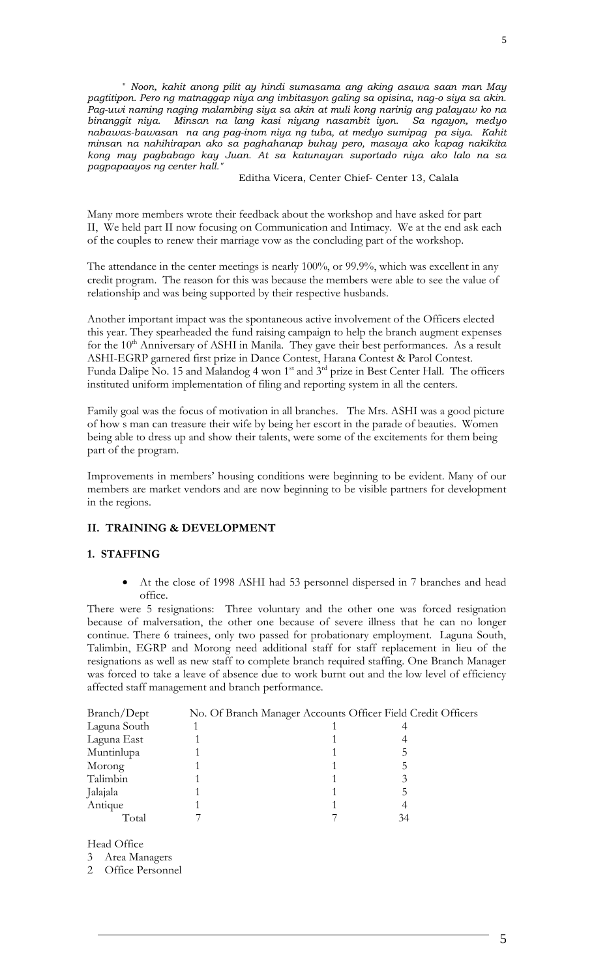" *Noon, kahit anong pilit ay hindi sumasama ang aking asawa saan man May pagtitipon. Pero ng matnaggap niya ang imbitasyon galing sa opisina, nag-o siya sa akin. Pag-uwi naming naging malambing siya sa akin at muli kong narinig ang palayaw ko na binanggit niya. Minsan na lang kasi niyang nasambit iyon. Sa ngayon, medyo nabawas-bawasan na ang pag-inom niya ng tuba, at medyo sumipag pa siya. Kahit minsan na nahihirapan ako sa paghahanap buhay pero, masaya ako kapag nakikita kong may pagbabago kay Juan. At sa katunayan suportado niya ako lalo na sa pagpapaayos ng center hall."*

Editha Vicera, Center Chief- Center 13, Calala

Many more members wrote their feedback about the workshop and have asked for part II, We held part II now focusing on Communication and Intimacy. We at the end ask each of the couples to renew their marriage vow as the concluding part of the workshop.

The attendance in the center meetings is nearly 100%, or 99.9%, which was excellent in any credit program. The reason for this was because the members were able to see the value of relationship and was being supported by their respective husbands.

Another important impact was the spontaneous active involvement of the Officers elected this year. They spearheaded the fund raising campaign to help the branch augment expenses for the 10<sup>th</sup> Anniversary of ASHI in Manila. They gave their best performances. As a result ASHI-EGRP garnered first prize in Dance Contest, Harana Contest & Parol Contest. Funda Dalipe No. 15 and Malandog 4 won 1<sup>st</sup> and 3<sup>rd</sup> prize in Best Center Hall. The officers instituted uniform implementation of filing and reporting system in all the centers.

Family goal was the focus of motivation in all branches. The Mrs. ASHI was a good picture of how s man can treasure their wife by being her escort in the parade of beauties. Women being able to dress up and show their talents, were some of the excitements for them being part of the program.

Improvements in members' housing conditions were beginning to be evident. Many of our members are market vendors and are now beginning to be visible partners for development in the regions.

## **II. TRAINING & DEVELOPMENT**

## **1. STAFFING**

 At the close of 1998 ASHI had 53 personnel dispersed in 7 branches and head office.

There were 5 resignations: Three voluntary and the other one was forced resignation because of malversation, the other one because of severe illness that he can no longer continue. There 6 trainees, only two passed for probationary employment. Laguna South, Talimbin, EGRP and Morong need additional staff for staff replacement in lieu of the resignations as well as new staff to complete branch required staffing. One Branch Manager was forced to take a leave of absence due to work burnt out and the low level of efficiency affected staff management and branch performance.

| Branch/Dept  | No. Of Branch Manager Accounts Officer Field Credit Officers |    |  |
|--------------|--------------------------------------------------------------|----|--|
| Laguna South |                                                              |    |  |
| Laguna East  |                                                              |    |  |
| Muntinlupa   |                                                              |    |  |
| Morong       |                                                              |    |  |
| Talimbin     |                                                              |    |  |
| Jalajala     |                                                              |    |  |
| Antique      |                                                              |    |  |
| Total        |                                                              | 34 |  |

Head Office

3 Area Managers

2 Office Personnel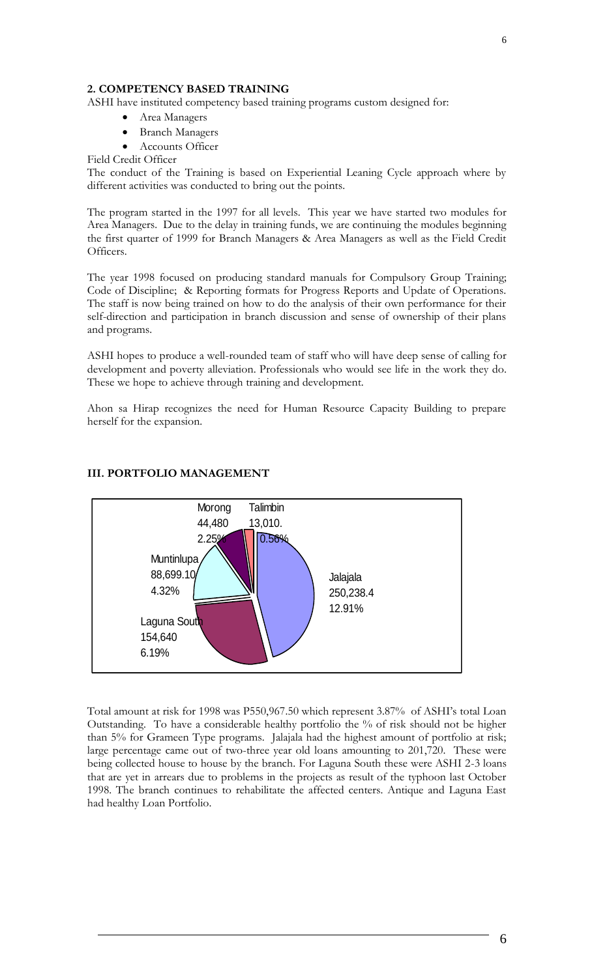# **2. COMPETENCY BASED TRAINING**

ASHI have instituted competency based training programs custom designed for:

- Area Managers
- Branch Managers
- Accounts Officer

Field Credit Officer

The conduct of the Training is based on Experiential Leaning Cycle approach where by different activities was conducted to bring out the points.

The program started in the 1997 for all levels. This year we have started two modules for Area Managers. Due to the delay in training funds, we are continuing the modules beginning the first quarter of 1999 for Branch Managers & Area Managers as well as the Field Credit Officers.

The year 1998 focused on producing standard manuals for Compulsory Group Training; Code of Discipline; & Reporting formats for Progress Reports and Update of Operations. The staff is now being trained on how to do the analysis of their own performance for their self-direction and participation in branch discussion and sense of ownership of their plans and programs.

ASHI hopes to produce a well-rounded team of staff who will have deep sense of calling for development and poverty alleviation. Professionals who would see life in the work they do. These we hope to achieve through training and development.

Ahon sa Hirap recognizes the need for Human Resource Capacity Building to prepare herself for the expansion.



### **III. PORTFOLIO MANAGEMENT**

Total amount at risk for 1998 was P550,967.50 which represent 3.87% of ASHI's total Loan Outstanding. To have a considerable healthy portfolio the % of risk should not be higher than 5% for Grameen Type programs. Jalajala had the highest amount of portfolio at risk; large percentage came out of two-three year old loans amounting to 201,720. These were being collected house to house by the branch. For Laguna South these were ASHI 2-3 loans that are yet in arrears due to problems in the projects as result of the typhoon last October 1998. The branch continues to rehabilitate the affected centers. Antique and Laguna East had healthy Loan Portfolio.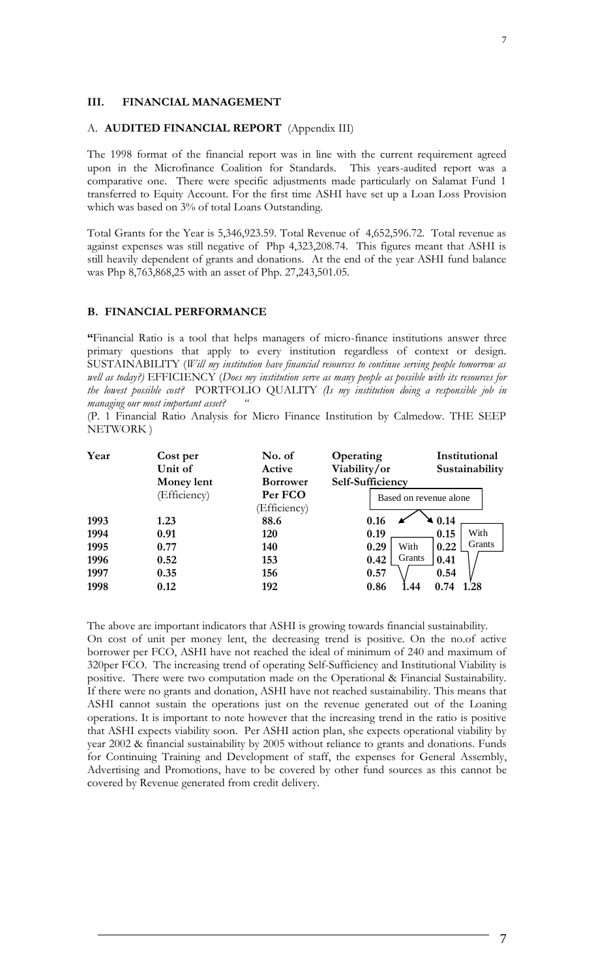### **III. FINANCIAL MANAGEMENT**

#### A. **AUDITED FINANCIAL REPORT** (Appendix III)

The 1998 format of the financial report was in line with the current requirement agreed upon in the Microfinance Coalition for Standards. This years-audited report was a comparative one. There were specific adjustments made particularly on Salamat Fund 1 transferred to Equity Account. For the first time ASHI have set up a Loan Loss Provision which was based on 3% of total Loans Outstanding.

Total Grants for the Year is 5,346,923.59. Total Revenue of 4,652,596.72. Total revenue as against expenses was still negative of Php 4,323,208.74. This figures meant that ASHI is still heavily dependent of grants and donations. At the end of the year ASHI fund balance was Php 8,763,868,25 with an asset of Php. 27,243,501.05.

#### **B. FINANCIAL PERFORMANCE**

**"**Financial Ratio is a tool that helps managers of micro-finance institutions answer three primary questions that apply to every institution regardless of context or design. SUSTAINABILITY (*Will my institution have financial resources to continue serving people tomorrow as well as today?)* EFFICIENCY (*Does my institution serve as many people as possible with its resources for the lowest possible cost?* PORTFOLIO QUALITY *(Is my institution doing a responsible job in managing our most important asset? "*

(P. 1 Financial Ratio Analysis for Micro Finance Institution by Calmedow. THE SEEP NETWORK )

| Year                    | Cost per<br>Unit of | No. of<br>Active       | Operating<br>Viability/or | Institutional<br>Sustainability |  |
|-------------------------|---------------------|------------------------|---------------------------|---------------------------------|--|
|                         | <b>Money lent</b>   | <b>Borrower</b>        | Self-Sufficiency          |                                 |  |
| Per FCO<br>(Efficiency) |                     | Based on revenue alone |                           |                                 |  |
|                         |                     | (Efficiency)           |                           |                                 |  |
| 1993                    | 1.23                | 88.6                   | 0.16                      | $\blacktriangle$ 0.14           |  |
| 1994                    | 0.91                | 120                    | 0.19                      | With<br>0.15                    |  |
| 1995                    | 0.77                | 140                    | 0.29<br>With              | Grants<br>0.22                  |  |
| 1996                    | 0.52                | 153                    | Grants<br>0.42            | 0.41                            |  |
| 1997                    | 0.35                | 156                    | 0.57                      | 0.54                            |  |
| 1998                    | 0.12                | 192                    | 0.86<br>.44               | 0.74<br>.28                     |  |

The above are important indicators that ASHI is growing towards financial sustainability. On cost of unit per money lent, the decreasing trend is positive. On the no.of active borrower per FCO, ASHI have not reached the ideal of minimum of 240 and maximum of 320per FCO. The increasing trend of operating Self-Sufficiency and Institutional Viability is positive. There were two computation made on the Operational & Financial Sustainability. If there were no grants and donation, ASHI have not reached sustainability. This means that ASHI cannot sustain the operations just on the revenue generated out of the Loaning operations. It is important to note however that the increasing trend in the ratio is positive that ASHI expects viability soon. Per ASHI action plan, she expects operational viability by year 2002 & financial sustainability by 2005 without reliance to grants and donations. Funds for Continuing Training and Development of staff, the expenses for General Assembly, Advertising and Promotions, have to be covered by other fund sources as this cannot be covered by Revenue generated from credit delivery.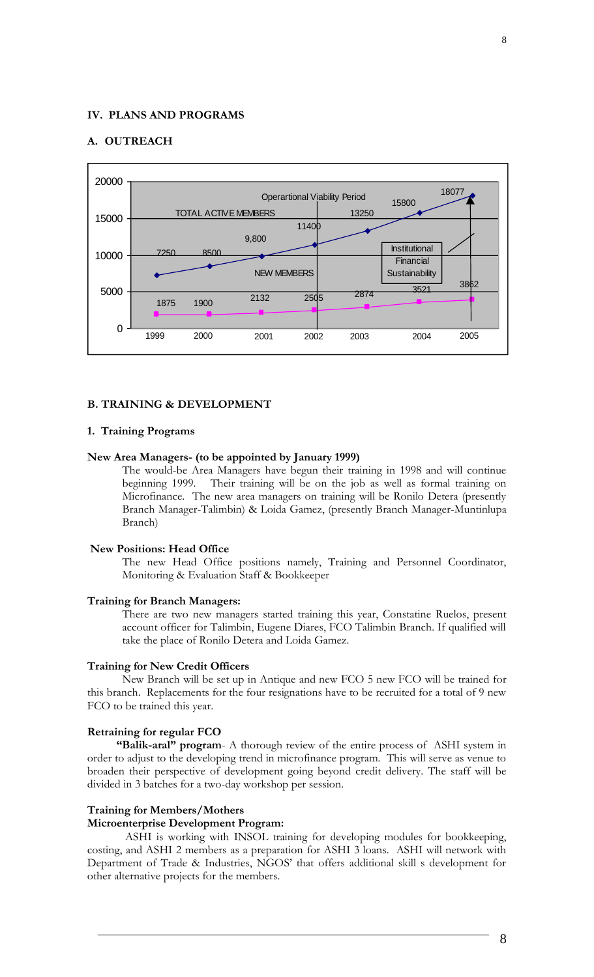## **IV. PLANS AND PROGRAMS**

## **A. OUTREACH**



### **B. TRAINING & DEVELOPMENT**

### **1. Training Programs**

### **New Area Managers- (to be appointed by January 1999)**

The would-be Area Managers have begun their training in 1998 and will continue beginning 1999. Their training will be on the job as well as formal training on Microfinance. The new area managers on training will be Ronilo Detera (presently Branch Manager-Talimbin) & Loida Gamez, (presently Branch Manager-Muntinlupa Branch)

#### **New Positions: Head Office**

The new Head Office positions namely, Training and Personnel Coordinator, Monitoring & Evaluation Staff & Bookkeeper

#### **Training for Branch Managers:**

There are two new managers started training this year, Constatine Ruelos, present account officer for Talimbin, Eugene Diares, FCO Talimbin Branch. If qualified will take the place of Ronilo Detera and Loida Gamez.

#### **Training for New Credit Officers**

New Branch will be set up in Antique and new FCO 5 new FCO will be trained for this branch. Replacements for the four resignations have to be recruited for a total of 9 new FCO to be trained this year.

#### **Retraining for regular FCO**

**"Balik-aral" program**- A thorough review of the entire process of ASHI system in order to adjust to the developing trend in microfinance program. This will serve as venue to broaden their perspective of development going beyond credit delivery. The staff will be divided in 3 batches for a two-day workshop per session.

#### **Training for Members/Mothers**

#### **Microenterprise Development Program:**

ASHI is working with INSOL training for developing modules for bookkeeping, costing, and ASHI 2 members as a preparation for ASHI 3 loans. ASHI will network with Department of Trade & Industries, NGOS' that offers additional skill s development for other alternative projects for the members.